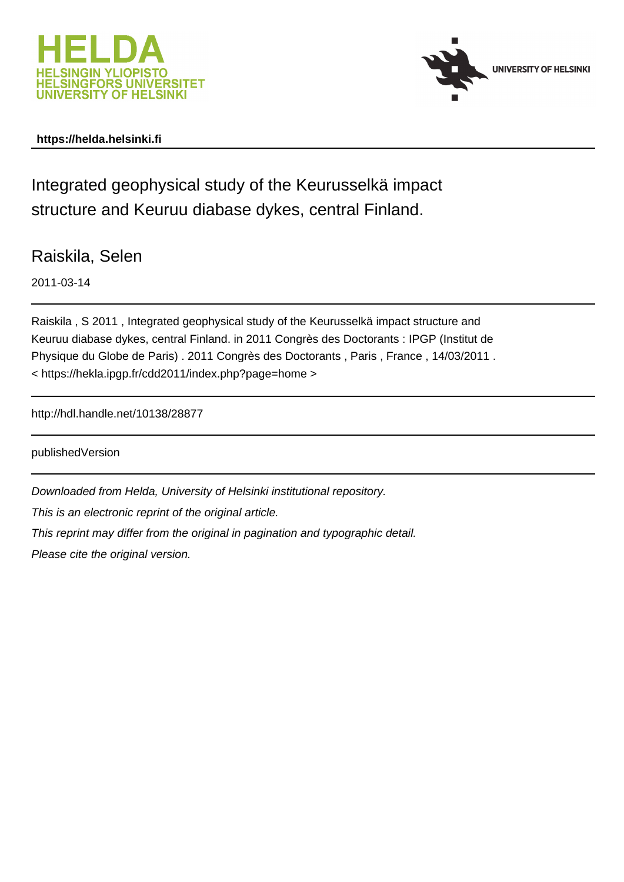



## **https://helda.helsinki.fi**

Integrated geophysical study of the Keurusselkä impact structure and Keuruu diabase dykes, central Finland.

Raiskila, Selen

2011-03-14

Raiskila , S 2011 , Integrated geophysical study of the Keurusselkä impact structure and Keuruu diabase dykes, central Finland. in 2011 Congrès des Doctorants : IPGP (Institut de Physique du Globe de Paris) . 2011 Congrès des Doctorants , Paris , France , 14/03/2011 . < https://hekla.ipgp.fr/cdd2011/index.php?page=home >

http://hdl.handle.net/10138/28877

publishedVersion

Downloaded from Helda, University of Helsinki institutional repository. This is an electronic reprint of the original article. This reprint may differ from the original in pagination and typographic detail. Please cite the original version.